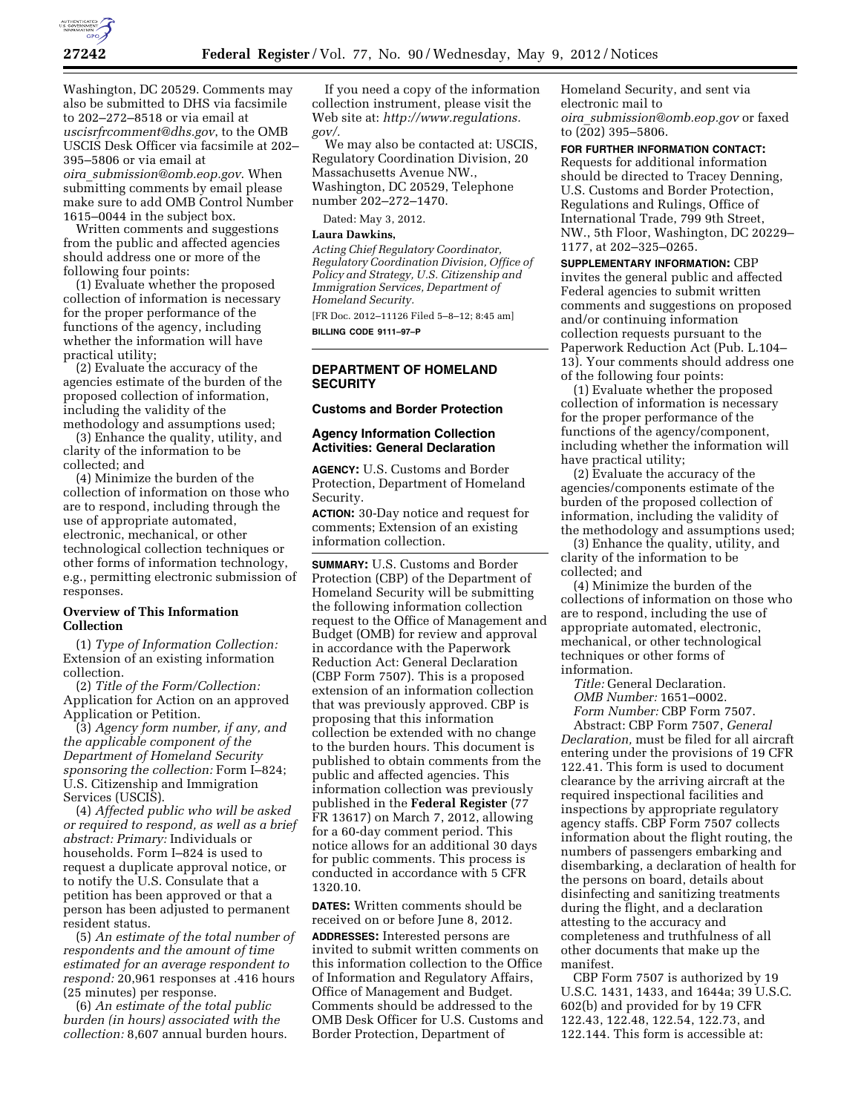

Washington, DC 20529. Comments may also be submitted to DHS via facsimile to 202–272–8518 or via email at *[uscisrfrcomment@dhs.gov](mailto:uscisrfrcomment@dhs.gov)*, to the OMB USCIS Desk Officer via facsimile at 202– 395–5806 or via email at *oira*\_*[submission@omb.eop.gov](mailto:oira_submission@omb.eop.gov)*. When submitting comments by email please make sure to add OMB Control Number 1615–0044 in the subject box.

Written comments and suggestions from the public and affected agencies should address one or more of the following four points:

(1) Evaluate whether the proposed collection of information is necessary for the proper performance of the functions of the agency, including whether the information will have practical utility;

(2) Evaluate the accuracy of the agencies estimate of the burden of the proposed collection of information, including the validity of the methodology and assumptions used;

(3) Enhance the quality, utility, and clarity of the information to be collected; and

(4) Minimize the burden of the collection of information on those who are to respond, including through the use of appropriate automated, electronic, mechanical, or other technological collection techniques or other forms of information technology, e.g., permitting electronic submission of responses.

## **Overview of This Information Collection**

(1) *Type of Information Collection:*  Extension of an existing information collection.

(2) *Title of the Form/Collection:*  Application for Action on an approved Application or Petition.

(3) *Agency form number, if any, and the applicable component of the Department of Homeland Security sponsoring the collection:* Form I–824; U.S. Citizenship and Immigration Services (USCIS).

(4) *Affected public who will be asked or required to respond, as well as a brief abstract: Primary:* Individuals or households. Form I–824 is used to request a duplicate approval notice, or to notify the U.S. Consulate that a petition has been approved or that a person has been adjusted to permanent resident status.

(5) *An estimate of the total number of respondents and the amount of time estimated for an average respondent to respond:* 20,961 responses at .416 hours (25 minutes) per response.

(6) *An estimate of the total public burden (in hours) associated with the collection:* 8,607 annual burden hours.

If you need a copy of the information collection instrument, please visit the Web site at: *[http://www.regulations.](http://www.regulations.gov/)  [gov/.](http://www.regulations.gov/)* 

We may also be contacted at: USCIS, Regulatory Coordination Division, 20 Massachusetts Avenue NW., Washington, DC 20529, Telephone number 202–272–1470.

Dated: May 3, 2012.

#### **Laura Dawkins,**

*Acting Chief Regulatory Coordinator, Regulatory Coordination Division, Office of Policy and Strategy, U.S. Citizenship and Immigration Services, Department of Homeland Security.* 

[FR Doc. 2012–11126 Filed 5–8–12; 8:45 am] **BILLING CODE 9111–97–P** 

#### **DEPARTMENT OF HOMELAND SECURITY**

## **Customs and Border Protection**

#### **Agency Information Collection Activities: General Declaration**

**AGENCY:** U.S. Customs and Border Protection, Department of Homeland Security.

**ACTION:** 30-Day notice and request for comments; Extension of an existing information collection.

**SUMMARY:** U.S. Customs and Border Protection (CBP) of the Department of Homeland Security will be submitting the following information collection request to the Office of Management and Budget (OMB) for review and approval in accordance with the Paperwork Reduction Act: General Declaration (CBP Form 7507). This is a proposed extension of an information collection that was previously approved. CBP is proposing that this information collection be extended with no change to the burden hours. This document is published to obtain comments from the public and affected agencies. This information collection was previously published in the **Federal Register** (77 FR 13617) on March 7, 2012, allowing for a 60-day comment period. This notice allows for an additional 30 days for public comments. This process is conducted in accordance with 5 CFR 1320.10.

**DATES:** Written comments should be received on or before June 8, 2012. **ADDRESSES:** Interested persons are invited to submit written comments on this information collection to the Office of Information and Regulatory Affairs, Office of Management and Budget. Comments should be addressed to the OMB Desk Officer for U.S. Customs and Border Protection, Department of

Homeland Security, and sent via electronic mail to *oira*\_*[submission@omb.eop.gov](mailto:oira_submission@omb.eop.gov)* or faxed to (202) 395–5806.

**FOR FURTHER INFORMATION CONTACT:**  Requests for additional information should be directed to Tracey Denning, U.S. Customs and Border Protection, Regulations and Rulings, Office of International Trade, 799 9th Street, NW., 5th Floor, Washington, DC 20229– 1177, at 202–325–0265.

**SUPPLEMENTARY INFORMATION:** CBP invites the general public and affected Federal agencies to submit written comments and suggestions on proposed and/or continuing information collection requests pursuant to the Paperwork Reduction Act (Pub. L.104– 13). Your comments should address one of the following four points:

(1) Evaluate whether the proposed collection of information is necessary for the proper performance of the functions of the agency/component, including whether the information will have practical utility;

(2) Evaluate the accuracy of the agencies/components estimate of the burden of the proposed collection of information, including the validity of the methodology and assumptions used;

(3) Enhance the quality, utility, and clarity of the information to be collected; and

(4) Minimize the burden of the collections of information on those who are to respond, including the use of appropriate automated, electronic, mechanical, or other technological techniques or other forms of information.

*Title:* General Declaration. *OMB Number:* 1651–0002. *Form Number:* CBP Form 7507.

Abstract: CBP Form 7507, *General Declaration,* must be filed for all aircraft entering under the provisions of 19 CFR 122.41. This form is used to document clearance by the arriving aircraft at the required inspectional facilities and inspections by appropriate regulatory agency staffs. CBP Form 7507 collects information about the flight routing, the numbers of passengers embarking and disembarking, a declaration of health for the persons on board, details about disinfecting and sanitizing treatments during the flight, and a declaration attesting to the accuracy and completeness and truthfulness of all other documents that make up the manifest.

CBP Form 7507 is authorized by 19 U.S.C. 1431, 1433, and 1644a; 39 U.S.C. 602(b) and provided for by 19 CFR 122.43, 122.48, 122.54, 122.73, and 122.144. This form is accessible at: